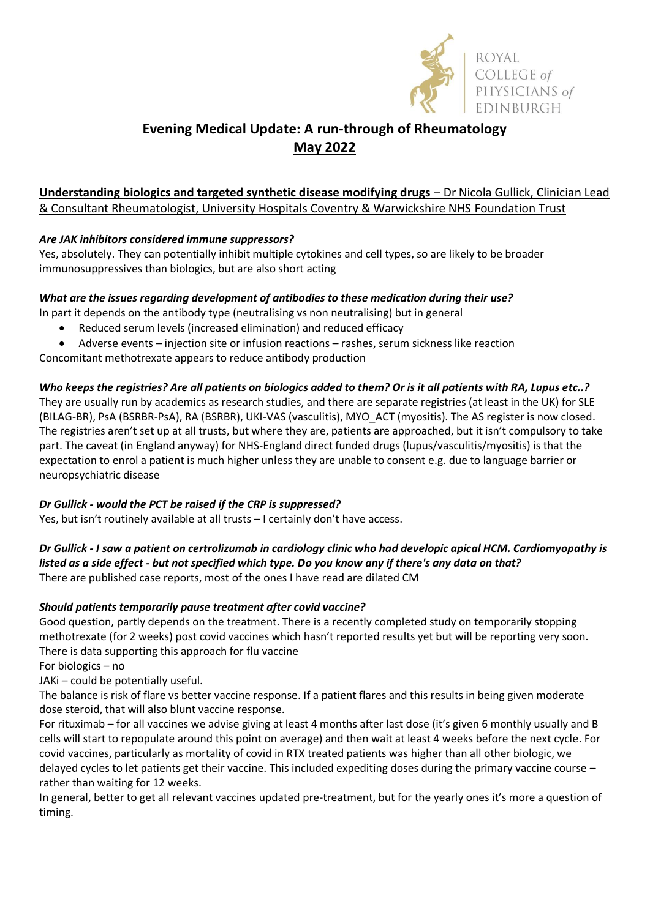

# **Evening Medical Update: A run-through of Rheumatology May 2022**

## **Understanding biologics and targeted synthetic disease modifying drugs** – Dr Nicola Gullick, Clinician Lead & Consultant Rheumatologist, University Hospitals Coventry & Warwickshire NHS Foundation Trust

## *Are JAK inhibitors considered immune suppressors?*

Yes, absolutely. They can potentially inhibit multiple cytokines and cell types, so are likely to be broader immunosuppressives than biologics, but are also short acting

#### *What are the issues regarding development of antibodies to these medication during their use?*

In part it depends on the antibody type (neutralising vs non neutralising) but in general

- Reduced serum levels (increased elimination) and reduced efficacy
- Adverse events injection site or infusion reactions rashes, serum sickness like reaction

Concomitant methotrexate appears to reduce antibody production

## *Who keeps the registries? Are all patients on biologics added to them? Or is it all patients with RA, Lupus etc..?*

They are usually run by academics as research studies, and there are separate registries (at least in the UK) for SLE (BILAG-BR), PsA (BSRBR-PsA), RA (BSRBR), UKI-VAS (vasculitis), MYO\_ACT (myositis). The AS register is now closed. The registries aren't set up at all trusts, but where they are, patients are approached, but it isn't compulsory to take part. The caveat (in England anyway) for NHS-England direct funded drugs (lupus/vasculitis/myositis) is that the expectation to enrol a patient is much higher unless they are unable to consent e.g. due to language barrier or neuropsychiatric disease

## *Dr Gullick - would the PCT be raised if the CRP is suppressed?*

Yes, but isn't routinely available at all trusts – I certainly don't have access.

#### *Dr Gullick - I saw a patient on certrolizumab in cardiology clinic who had developic apical HCM. Cardiomyopathy is listed as a side effect - but not specified which type. Do you know any if there's any data on that?* There are published case reports, most of the ones I have read are dilated CM

## *Should patients temporarily pause treatment after covid vaccine?*

Good question, partly depends on the treatment. There is a recently completed study on temporarily stopping methotrexate (for 2 weeks) post covid vaccines which hasn't reported results yet but will be reporting very soon. There is data supporting this approach for flu vaccine

For biologics – no

JAKi – could be potentially useful.

The balance is risk of flare vs better vaccine response. If a patient flares and this results in being given moderate dose steroid, that will also blunt vaccine response.

For rituximab – for all vaccines we advise giving at least 4 months after last dose (it's given 6 monthly usually and B cells will start to repopulate around this point on average) and then wait at least 4 weeks before the next cycle. For covid vaccines, particularly as mortality of covid in RTX treated patients was higher than all other biologic, we delayed cycles to let patients get their vaccine. This included expediting doses during the primary vaccine course – rather than waiting for 12 weeks.

In general, better to get all relevant vaccines updated pre-treatment, but for the yearly ones it's more a question of timing.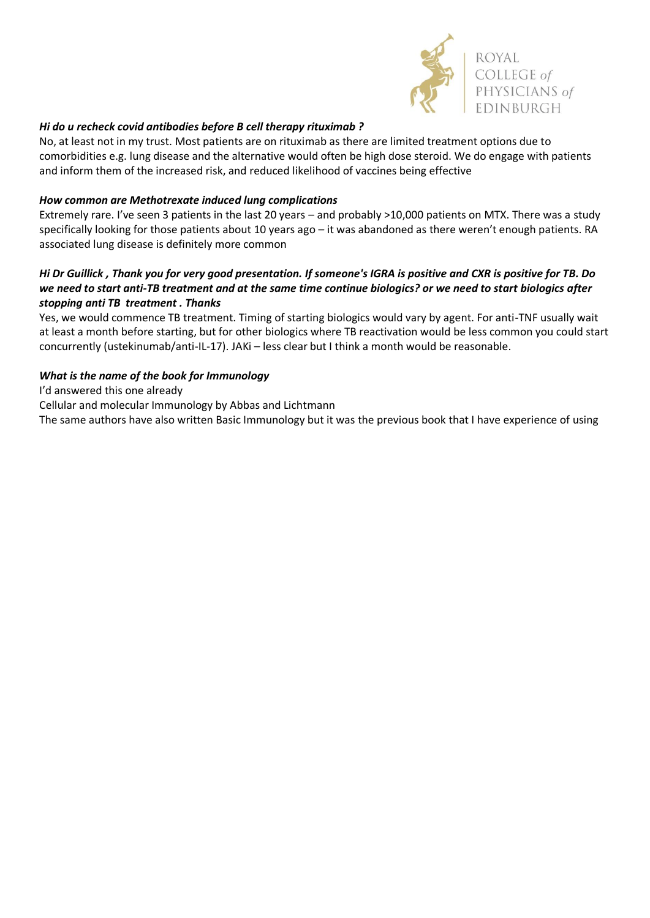

#### *Hi do u recheck covid antibodies before B cell therapy rituximab ?*

No, at least not in my trust. Most patients are on rituximab as there are limited treatment options due to comorbidities e.g. lung disease and the alternative would often be high dose steroid. We do engage with patients and inform them of the increased risk, and reduced likelihood of vaccines being effective

#### *How common are Methotrexate induced lung complications*

Extremely rare. I've seen 3 patients in the last 20 years – and probably >10,000 patients on MTX. There was a study specifically looking for those patients about 10 years ago – it was abandoned as there weren't enough patients. RA associated lung disease is definitely more common

### *Hi Dr Guillick , Thank you for very good presentation. If someone's IGRA is positive and CXR is positive for TB. Do we need to start anti-TB treatment and at the same time continue biologics? or we need to start biologics after stopping anti TB treatment . Thanks*

Yes, we would commence TB treatment. Timing of starting biologics would vary by agent. For anti-TNF usually wait at least a month before starting, but for other biologics where TB reactivation would be less common you could start concurrently (ustekinumab/anti-IL-17). JAKi – less clear but I think a month would be reasonable.

#### *What is the name of the book for Immunology*

I'd answered this one already

Cellular and molecular Immunology by Abbas and Lichtmann

The same authors have also written Basic Immunology but it was the previous book that I have experience of using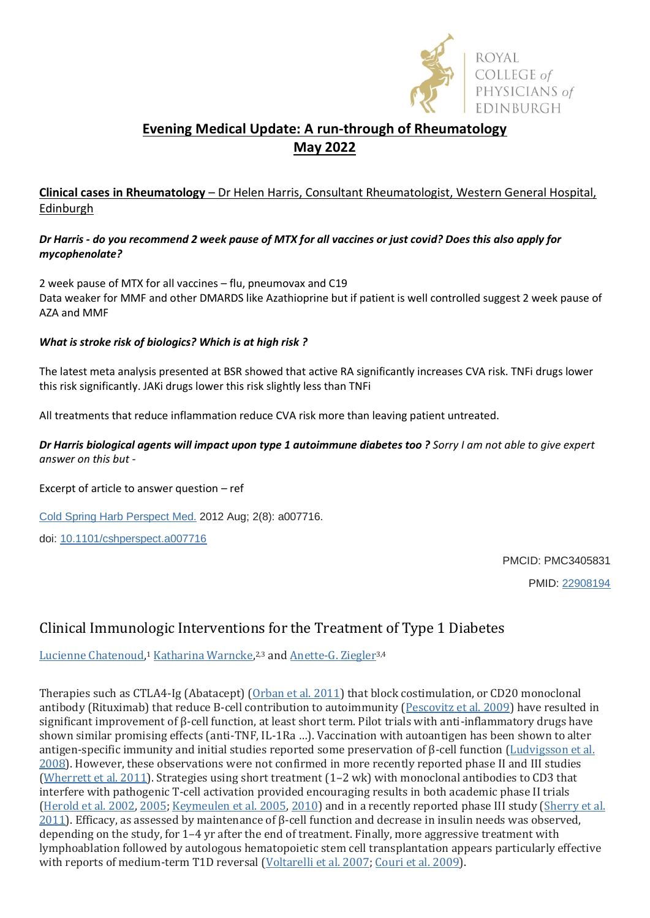

# **Evening Medical Update: A run-through of Rheumatology May 2022**

## **Clinical cases in Rheumatology** – Dr Helen Harris, Consultant Rheumatologist, Western General Hospital, Edinburgh

### *Dr Harris - do you recommend 2 week pause of MTX for all vaccines or just covid? Does this also apply for mycophenolate?*

2 week pause of MTX for all vaccines – flu, pneumovax and C19 Data weaker for MMF and other DMARDS like Azathioprine but if patient is well controlled suggest 2 week pause of AZA and MMF

### *What is stroke risk of biologics? Which is at high risk ?*

The latest meta analysis presented at BSR showed that active RA significantly increases CVA risk. TNFi drugs lower this risk significantly. JAKi drugs lower this risk slightly less than TNFi

All treatments that reduce inflammation reduce CVA risk more than leaving patient untreated.

*Dr Harris biological agents will impact upon type 1 autoimmune diabetes too ? Sorry I am not able to give expert answer on this but -* 

Excerpt of article to answer question – ref

[Cold Spring Harb Perspect Med.](https://www.ncbi.nlm.nih.gov/pmc/articles/PMC3405831/) 2012 Aug; 2(8): a007716.

doi: [10.1101/cshperspect.a007716](https://doi.org/10.1101%2Fcshperspect.a007716)

PMCID: PMC3405831

PMID: [22908194](https://pubmed.ncbi.nlm.nih.gov/22908194)

# Clinical Immunologic Interventions for the Treatment of Type 1 Diabetes

[Lucienne Chatenoud,](https://pubmed.ncbi.nlm.nih.gov/?term=Chatenoud%20L%5BAuthor%5D)<sup>1</sup> [Katharina Warncke,](https://pubmed.ncbi.nlm.nih.gov/?term=Warncke%20K%5BAuthor%5D)<sup>2,3</sup> and [Anette-G. Ziegler](https://pubmed.ncbi.nlm.nih.gov/?term=Ziegler%20AG%5BAuthor%5D)<sup>3,4</sup>

Therapies such as CTLA4-Ig (Abatacept) [\(Orban et al. 2011\)](https://www.ncbi.nlm.nih.gov/pmc/articles/PMC3405831/#A007716C66) that block costimulation, or CD20 monoclonal antibody (Rituximab) that reduce B-cell contribution to autoimmunity [\(Pescovitz et al. 2009\)](https://www.ncbi.nlm.nih.gov/pmc/articles/PMC3405831/#A007716C71) have resulted in significant improvement of β-cell function, at least short term. Pilot trials with anti-inflammatory drugs have shown similar promising effects (anti-TNF, IL-1Ra …). Vaccination with autoantigen has been shown to alter antigen-specific immunity and initial studies reported some preservation of β-cell function [\(Ludvigsson et al.](https://www.ncbi.nlm.nih.gov/pmc/articles/PMC3405831/#A007716C53)  [2008\)](https://www.ncbi.nlm.nih.gov/pmc/articles/PMC3405831/#A007716C53). However, these observations were not confirmed in more recently reported phase II and III studies [\(Wherrett et al. 2011\)](https://www.ncbi.nlm.nih.gov/pmc/articles/PMC3405831/#A007716C96). Strategies using short treatment (1–2 wk) with monoclonal antibodies to CD3 that interfere with pathogenic T-cell activation provided encouraging results in both academic phase II trials [\(Herold et al. 2002,](https://www.ncbi.nlm.nih.gov/pmc/articles/PMC3405831/#A007716C32) [2005;](https://www.ncbi.nlm.nih.gov/pmc/articles/PMC3405831/#A007716C31) [Keymeulen et al. 2005,](https://www.ncbi.nlm.nih.gov/pmc/articles/PMC3405831/#A007716C44) [2010\)](https://www.ncbi.nlm.nih.gov/pmc/articles/PMC3405831/#A007716C45) and in a recently reported phase III study [\(Sherry et al.](https://www.ncbi.nlm.nih.gov/pmc/articles/PMC3405831/#A007716C80)  [2011](https://www.ncbi.nlm.nih.gov/pmc/articles/PMC3405831/#A007716C80)). Efficacy, as assessed by maintenance of β-cell function and decrease in insulin needs was observed, depending on the study, for 1–4 yr after the end of treatment. Finally, more aggressive treatment with lymphoablation followed by autologous hematopoietic stem cell transplantation appears particularly effective with reports of medium-term T1D reversal [\(Voltarelli et al. 2007;](https://www.ncbi.nlm.nih.gov/pmc/articles/PMC3405831/#A007716C93) [Couri et al. 2009\)](https://www.ncbi.nlm.nih.gov/pmc/articles/PMC3405831/#A007716C19).